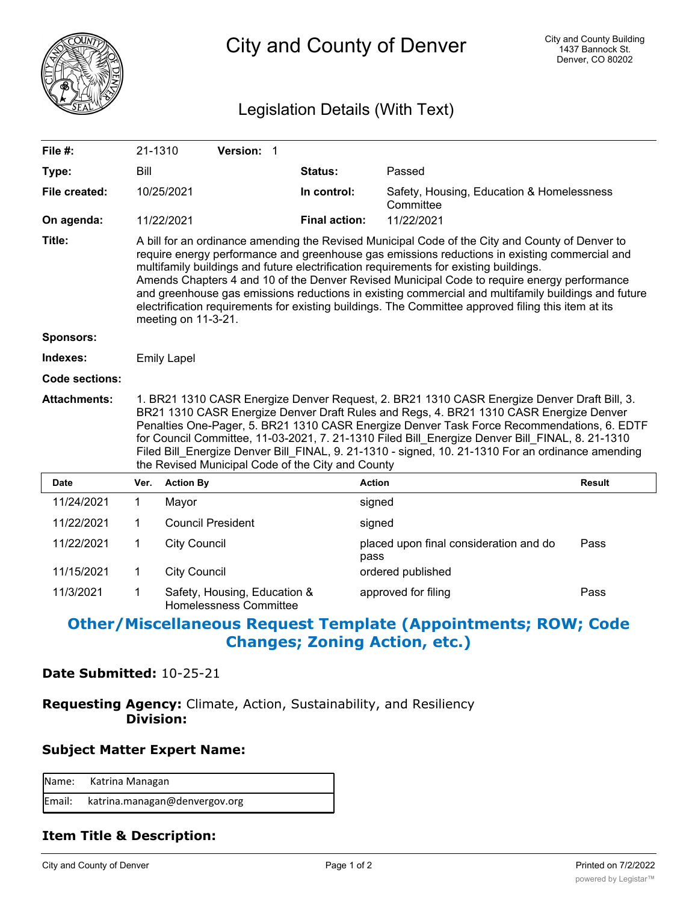

City and County of Denver

# Legislation Details (With Text)

| File #:             | 21-1310                                                                                                                                                                                                                                                                                                                                                                                                                                                                                                                                                                                                                       |                          | Version: 1                                                    |  |                      |                                                        |               |  |
|---------------------|-------------------------------------------------------------------------------------------------------------------------------------------------------------------------------------------------------------------------------------------------------------------------------------------------------------------------------------------------------------------------------------------------------------------------------------------------------------------------------------------------------------------------------------------------------------------------------------------------------------------------------|--------------------------|---------------------------------------------------------------|--|----------------------|--------------------------------------------------------|---------------|--|
| Type:               | Bill                                                                                                                                                                                                                                                                                                                                                                                                                                                                                                                                                                                                                          |                          |                                                               |  | Status:              | Passed                                                 |               |  |
| File created:       |                                                                                                                                                                                                                                                                                                                                                                                                                                                                                                                                                                                                                               | 10/25/2021               |                                                               |  | In control:          | Safety, Housing, Education & Homelessness<br>Committee |               |  |
| On agenda:          |                                                                                                                                                                                                                                                                                                                                                                                                                                                                                                                                                                                                                               | 11/22/2021               |                                                               |  | <b>Final action:</b> | 11/22/2021                                             |               |  |
| Title:              | A bill for an ordinance amending the Revised Municipal Code of the City and County of Denver to<br>require energy performance and greenhouse gas emissions reductions in existing commercial and<br>multifamily buildings and future electrification requirements for existing buildings.<br>Amends Chapters 4 and 10 of the Denver Revised Municipal Code to require energy performance<br>and greenhouse gas emissions reductions in existing commercial and multifamily buildings and future<br>electrification requirements for existing buildings. The Committee approved filing this item at its<br>meeting on 11-3-21. |                          |                                                               |  |                      |                                                        |               |  |
| <b>Sponsors:</b>    |                                                                                                                                                                                                                                                                                                                                                                                                                                                                                                                                                                                                                               |                          |                                                               |  |                      |                                                        |               |  |
| Indexes:            | <b>Emily Lapel</b>                                                                                                                                                                                                                                                                                                                                                                                                                                                                                                                                                                                                            |                          |                                                               |  |                      |                                                        |               |  |
| Code sections:      |                                                                                                                                                                                                                                                                                                                                                                                                                                                                                                                                                                                                                               |                          |                                                               |  |                      |                                                        |               |  |
| <b>Attachments:</b> | 1. BR21 1310 CASR Energize Denver Request, 2. BR21 1310 CASR Energize Denver Draft Bill, 3.<br>BR21 1310 CASR Energize Denver Draft Rules and Regs, 4. BR21 1310 CASR Energize Denver<br>Penalties One-Pager, 5. BR21 1310 CASR Energize Denver Task Force Recommendations, 6. EDTF<br>for Council Committee, 11-03-2021, 7. 21-1310 Filed Bill Energize Denver Bill FINAL, 8. 21-1310<br>Filed Bill Energize Denver Bill FINAL, 9. 21-1310 - signed, 10. 21-1310 For an ordinance amending<br>the Revised Municipal Code of the City and County                                                                              |                          |                                                               |  |                      |                                                        |               |  |
| <b>Date</b>         | Ver.                                                                                                                                                                                                                                                                                                                                                                                                                                                                                                                                                                                                                          | <b>Action By</b>         |                                                               |  |                      | <b>Action</b>                                          | <b>Result</b> |  |
| 11/24/2021          | $\mathbf 1$                                                                                                                                                                                                                                                                                                                                                                                                                                                                                                                                                                                                                   | Mayor                    |                                                               |  |                      | signed                                                 |               |  |
| 11/22/2021          | 1                                                                                                                                                                                                                                                                                                                                                                                                                                                                                                                                                                                                                             | <b>Council President</b> |                                                               |  |                      | signed                                                 |               |  |
| 11/22/2021          | 1                                                                                                                                                                                                                                                                                                                                                                                                                                                                                                                                                                                                                             | <b>City Council</b>      |                                                               |  |                      | placed upon final consideration and do<br>pass         | Pass          |  |
| 11/15/2021          | 1                                                                                                                                                                                                                                                                                                                                                                                                                                                                                                                                                                                                                             | <b>City Council</b>      |                                                               |  |                      | ordered published                                      |               |  |
| 11/3/2021           | 1                                                                                                                                                                                                                                                                                                                                                                                                                                                                                                                                                                                                                             |                          | Safety, Housing, Education &<br><b>Homelessness Committee</b> |  |                      | approved for filing                                    | Pass          |  |

# **Other/Miscellaneous Request Template (Appointments; ROW; Code Changes; Zoning Action, etc.)**

## **Date Submitted:** 10-25-21

# **Requesting Agency:** Climate, Action, Sustainability, and Resiliency  **Division:**

## **Subject Matter Expert Name:**

| Name: Katrina Managan                |
|--------------------------------------|
| Email: katrina.managan@denvergov.org |

## **Item Title & Description:**